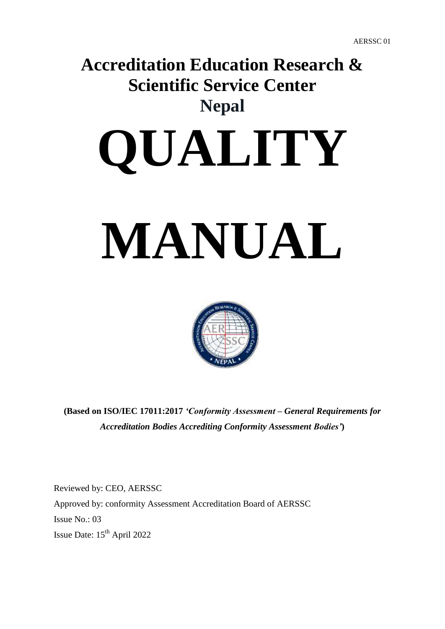# **Accreditation Education Research & Scientific Service Center Nepal**

# **QUALITY**

# **MANUAL**



**(Based on ISO/IEC 17011:2017** *'Conformity Assessment – General Requirements for Accreditation Bodies Accrediting Conformity Assessment Bodies'***)** 

Reviewed by: CEO, AERSSC Approved by: conformity Assessment Accreditation Board of AERSSC Issue No.: 03 Issue Date: 15<sup>th</sup> April 2022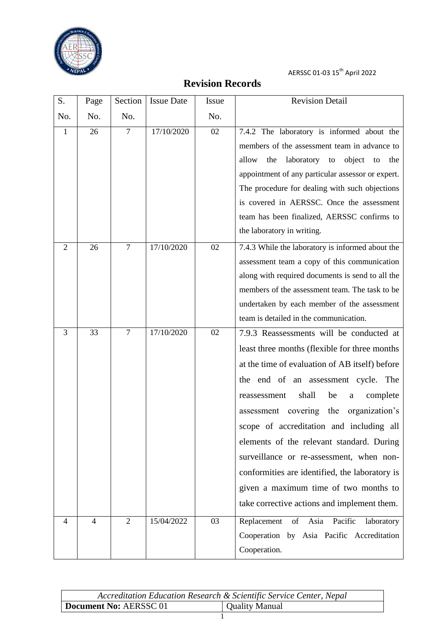

# **Revision Records**

<span id="page-1-0"></span>

| S.             | Page           | Section        | <b>Issue Date</b> | Issue | <b>Revision Detail</b>                                  |
|----------------|----------------|----------------|-------------------|-------|---------------------------------------------------------|
| No.            | No.            | No.            |                   | No.   |                                                         |
| $\mathbf{1}$   | 26             | $\overline{7}$ | 17/10/2020        | 02    | 7.4.2 The laboratory is informed about the              |
|                |                |                |                   |       | members of the assessment team in advance to            |
|                |                |                |                   |       | laboratory to object to<br>allow<br>the<br>the          |
|                |                |                |                   |       | appointment of any particular assessor or expert.       |
|                |                |                |                   |       | The procedure for dealing with such objections          |
|                |                |                |                   |       | is covered in AERSSC. Once the assessment               |
|                |                |                |                   |       | team has been finalized, AERSSC confirms to             |
|                |                |                |                   |       | the laboratory in writing.                              |
| $\overline{2}$ | 26             | $\overline{7}$ | 17/10/2020        | 02    | 7.4.3 While the laboratory is informed about the        |
|                |                |                |                   |       | assessment team a copy of this communication            |
|                |                |                |                   |       | along with required documents is send to all the        |
|                |                |                |                   |       | members of the assessment team. The task to be          |
|                |                |                |                   |       | undertaken by each member of the assessment             |
|                |                |                |                   |       | team is detailed in the communication.                  |
| 3              | 33             | $\tau$         | 17/10/2020        | 02    | 7.9.3 Reassessments will be conducted at                |
|                |                |                |                   |       | least three months (flexible for three months           |
|                |                |                |                   |       | at the time of evaluation of AB itself) before          |
|                |                |                |                   |       | the end of an assessment cycle.<br>The                  |
|                |                |                |                   |       | shall<br>be<br>complete<br>reassessment<br>$\mathbf{a}$ |
|                |                |                |                   |       | assessment covering the<br>organization's               |
|                |                |                |                   |       | scope of accreditation and including all                |
|                |                |                |                   |       | elements of the relevant standard. During               |
|                |                |                |                   |       | surveillance or re-assessment, when non-                |
|                |                |                |                   |       | conformities are identified, the laboratory is          |
|                |                |                |                   |       | given a maximum time of two months to                   |
|                |                |                |                   |       | take corrective actions and implement them.             |
| 4              | $\overline{4}$ | $\overline{2}$ | 15/04/2022        | 03    | Replacement<br>of Asia Pacific<br>laboratory            |
|                |                |                |                   |       | Cooperation by Asia Pacific Accreditation               |
|                |                |                |                   |       | Cooperation.                                            |
|                |                |                |                   |       |                                                         |

| Accreditation Education Research & Scientific Service Center, Nepal |                |
|---------------------------------------------------------------------|----------------|
| Document No: AERSSC 01                                              | Quality Manual |
|                                                                     |                |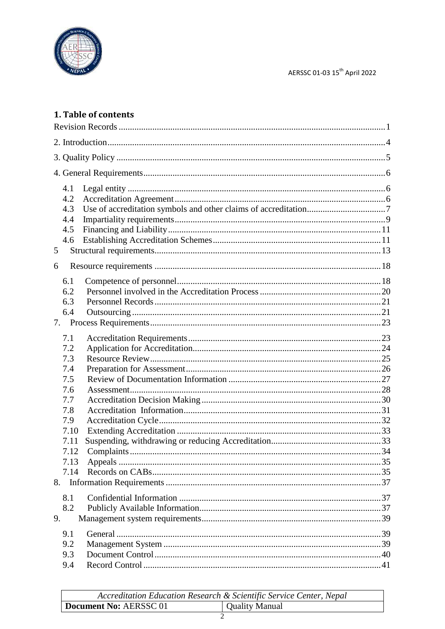

### 1. Table of contents

| 4.1<br>4.2<br>4.3<br>4.4<br>4.5<br>4.6<br>5        |
|----------------------------------------------------|
| 6                                                  |
| 6.1<br>6.2<br>6.3<br>6.4                           |
| 7.1<br>7.2<br>7.3<br>7.4<br>7.5<br>7.6<br>7.7      |
| 7.8<br>7.9<br>7.10<br>7.11<br>7.12<br>7.13<br>7.14 |
| 8.1<br>8.2<br>9.                                   |
| 9.1<br>9.2<br>9.3<br>9.4                           |

|                        | Accreditation Education Research & Scientific Service Center, Nepal |
|------------------------|---------------------------------------------------------------------|
| Document No: AERSSC 01 | Quality Manual                                                      |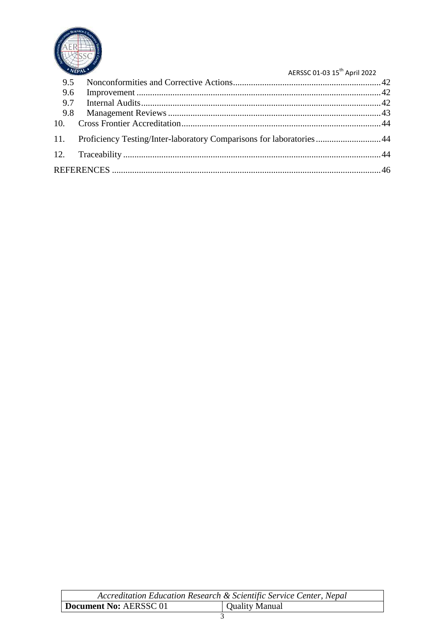

|     | NEPAL'                                                                    | AERSSC 01-03 15 <sup>th</sup> April 2022 |
|-----|---------------------------------------------------------------------------|------------------------------------------|
| 9.5 |                                                                           |                                          |
|     |                                                                           |                                          |
|     |                                                                           |                                          |
|     |                                                                           |                                          |
|     |                                                                           |                                          |
|     | 11. Proficiency Testing/Inter-laboratory Comparisons for laboratories  44 |                                          |
|     |                                                                           |                                          |
|     |                                                                           |                                          |

| Accreditation Education Research & Scientific Service Center, Nepal |                |  |  |
|---------------------------------------------------------------------|----------------|--|--|
| Document No: AERSSC 01                                              | Quality Manual |  |  |
|                                                                     |                |  |  |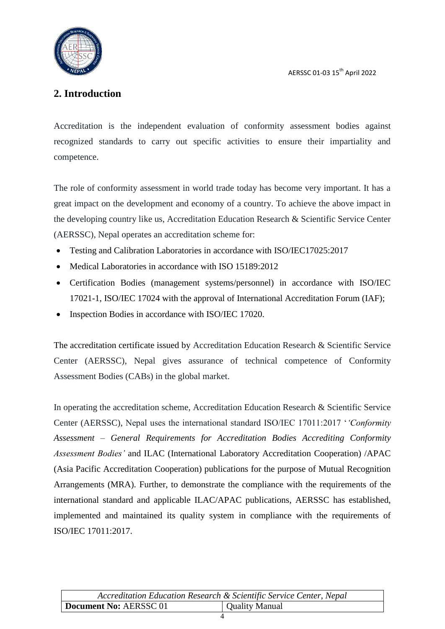## <span id="page-4-0"></span>**2. Introduction**

Accreditation is the independent evaluation of conformity assessment bodies against recognized standards to carry out specific activities to ensure their impartiality and competence.

The role of conformity assessment in world trade today has become very important. It has a great impact on the development and economy of a country. To achieve the above impact in the developing country like us, Accreditation Education Research & Scientific Service Center (AERSSC), Nepal operates an accreditation scheme for:

- Testing and Calibration Laboratories in accordance with ISO/IEC17025:2017
- Medical Laboratories in accordance with ISO 15189:2012
- Certification Bodies (management systems/personnel) in accordance with ISO/IEC 17021-1, ISO/IEC 17024 with the approval of International Accreditation Forum (IAF);
- Inspection Bodies in accordance with ISO/IEC 17020.

The accreditation certificate issued by Accreditation Education Research & Scientific Service Center (AERSSC), Nepal gives assurance of technical competence of Conformity Assessment Bodies (CABs) in the global market.

In operating the accreditation scheme, Accreditation Education Research & Scientific Service Center (AERSSC), Nepal uses the international standard ISO/IEC 17011:2017 "*'Conformity Assessment – General Requirements for Accreditation Bodies Accrediting Conformity Assessment Bodies'* and ILAC (International Laboratory Accreditation Cooperation) /APAC (Asia Pacific Accreditation Cooperation) publications for the purpose of Mutual Recognition Arrangements (MRA). Further, to demonstrate the compliance with the requirements of the international standard and applicable ILAC/APAC publications, AERSSC has established, implemented and maintained its quality system in compliance with the requirements of ISO/IEC 17011:2017.

|                        | Accreditation Education Research & Scientific Service Center, Nepal |
|------------------------|---------------------------------------------------------------------|
| Document No: AERSSC 01 | Quality Manual                                                      |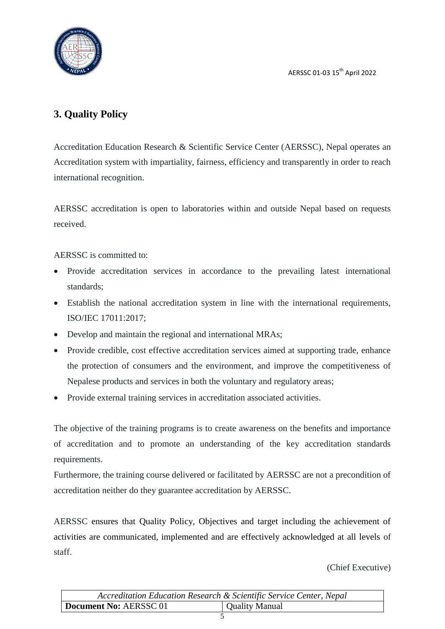

# <span id="page-5-0"></span>**3. Quality Policy**

Accreditation Education Research & Scientific Service Center (AERSSC), Nepal operates an Accreditation system with impartiality, fairness, efficiency and transparently in order to reach international recognition.

AERSSC accreditation is open to laboratories within and outside Nepal based on requests received.

AERSSC is committed to:

- Provide accreditation services in accordance to the prevailing latest international standards;
- Establish the national accreditation system in line with the international requirements, ISO/IEC 17011:2017;
- Develop and maintain the regional and international MRAs;
- Provide credible, cost effective accreditation services aimed at supporting trade, enhance the protection of consumers and the environment, and improve the competitiveness of Nepalese products and services in both the voluntary and regulatory areas;
- Provide external training services in accreditation associated activities.

The objective of the training programs is to create awareness on the benefits and importance of accreditation and to promote an understanding of the key accreditation standards requirements.

Furthermore, the training course delivered or facilitated by AERSSC are not a precondition of accreditation neither do they guarantee accreditation by AERSSC.

AERSSC ensures that Quality Policy, Objectives and target including the achievement of activities are communicated, implemented and are effectively acknowledged at all levels of staff.

(Chief Executive)

|                        | Accreditation Education Research & Scientific Service Center, Nepal |
|------------------------|---------------------------------------------------------------------|
| Document No: AERSSC 01 | Quality Manual                                                      |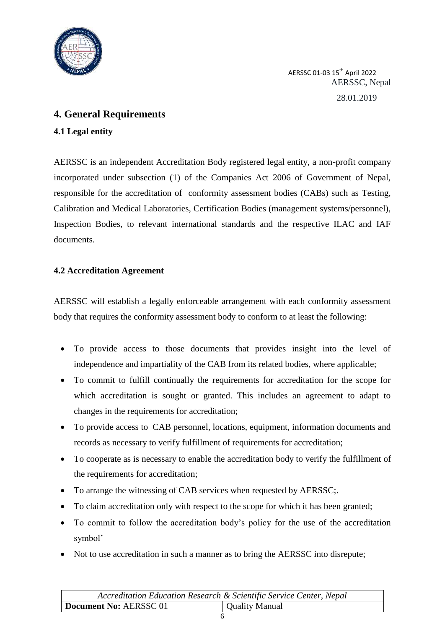

AERSSC 01-03 15th April 2022 AERSSC, Nepal 28.01.2019

#### <span id="page-6-0"></span>**4. General Requirements**

#### <span id="page-6-1"></span>**4.1 Legal entity**

AERSSC is an independent Accreditation Body registered legal entity, a non-profit company incorporated under subsection (1) of the Companies Act 2006 of Government of Nepal, responsible for the accreditation of conformity assessment bodies (CABs) such as Testing, Calibration and Medical Laboratories, Certification Bodies (management systems/personnel), Inspection Bodies, to relevant international standards and the respective ILAC and IAF documents.

#### <span id="page-6-2"></span>**4.2 Accreditation Agreement**

AERSSC will establish a legally enforceable arrangement with each conformity assessment body that requires the conformity assessment body to conform to at least the following:

- To provide access to those documents that provides insight into the level of independence and impartiality of the CAB from its related bodies, where applicable;
- To commit to fulfill continually the requirements for accreditation for the scope for which accreditation is sought or granted. This includes an agreement to adapt to changes in the requirements for accreditation;
- To provide access to CAB personnel, locations, equipment, information documents and records as necessary to verify fulfillment of requirements for accreditation;
- To cooperate as is necessary to enable the accreditation body to verify the fulfillment of the requirements for accreditation;
- To arrange the witnessing of CAB services when requested by AERSSC;.
- To claim accreditation only with respect to the scope for which it has been granted;
- To commit to follow the accreditation body"s policy for the use of the accreditation symbol'
- Not to use accreditation in such a manner as to bring the AERSSC into disrepute;

| Accreditation Education Research & Scientific Service Center, Nepal |                       |  |
|---------------------------------------------------------------------|-----------------------|--|
| Document No: AERSSC 01                                              | <b>Quality Manual</b> |  |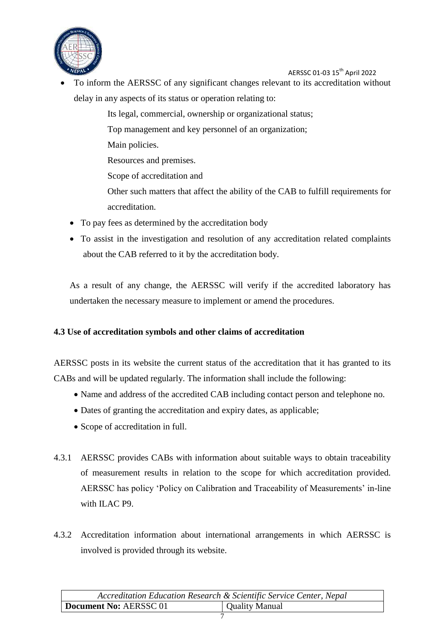

 To inform the AERSSC of any significant changes relevant to its accreditation without delay in any aspects of its status or operation relating to:

Its legal, commercial, ownership or organizational status;

Top management and key personnel of an organization;

Main policies.

Resources and premises.

Scope of accreditation and

Other such matters that affect the ability of the CAB to fulfill requirements for accreditation.

- To pay fees as determined by the accreditation body
- To assist in the investigation and resolution of any accreditation related complaints about the CAB referred to it by the accreditation body.

As a result of any change, the AERSSC will verify if the accredited laboratory has undertaken the necessary measure to implement or amend the procedures.

#### <span id="page-7-0"></span>**4.3 Use of accreditation symbols and other claims of accreditation**

AERSSC posts in its website the current status of the accreditation that it has granted to its CABs and will be updated regularly. The information shall include the following:

- Name and address of the accredited CAB including contact person and telephone no.
- Dates of granting the accreditation and expiry dates, as applicable;
- Scope of accreditation in full.
- 4.3.1 AERSSC provides CABs with information about suitable ways to obtain traceability of measurement results in relation to the scope for which accreditation provided. AERSSC has policy 'Policy on Calibration and Traceability of Measurements' in-line with ILAC P9.
- 4.3.2 Accreditation information about international arrangements in which AERSSC is involved is provided through its website.

|                        | Accreditation Education Research & Scientific Service Center, Nepal |
|------------------------|---------------------------------------------------------------------|
| Document No: AERSSC 01 | <b>Quality Manual</b>                                               |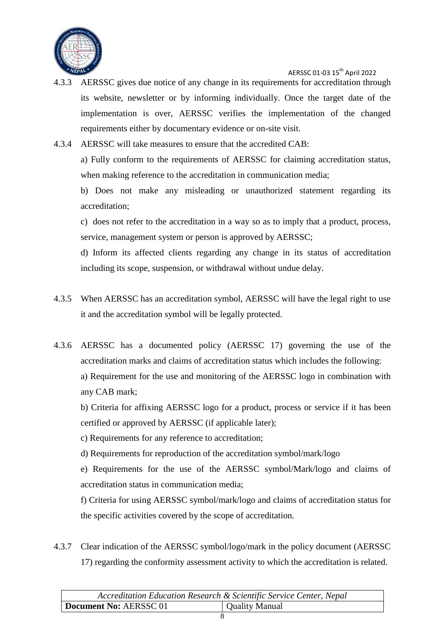

- 4.3.3 AERSSC gives due notice of any change in its requirements for accreditation through its website, newsletter or by informing individually. Once the target date of the implementation is over, AERSSC verifies the implementation of the changed requirements either by documentary evidence or on-site visit.
- 4.3.4 AERSSC will take measures to ensure that the accredited CAB:

a) Fully conform to the requirements of AERSSC for claiming accreditation status, when making reference to the accreditation in communication media;

b) Does not make any misleading or unauthorized statement regarding its accreditation;

c) does not refer to the accreditation in a way so as to imply that a product, process, service, management system or person is approved by AERSSC;

d) Inform its affected clients regarding any change in its status of accreditation including its scope, suspension, or withdrawal without undue delay.

- 4.3.5 When AERSSC has an accreditation symbol, AERSSC will have the legal right to use it and the accreditation symbol will be legally protected.
- 4.3.6 AERSSC has a documented policy (AERSSC 17) governing the use of the accreditation marks and claims of accreditation status which includes the following: a) Requirement for the use and monitoring of the AERSSC logo in combination with any CAB mark;

b) Criteria for affixing AERSSC logo for a product, process or service if it has been certified or approved by AERSSC (if applicable later);

c) Requirements for any reference to accreditation;

d) Requirements for reproduction of the accreditation symbol/mark/logo

e) Requirements for the use of the AERSSC symbol/Mark/logo and claims of accreditation status in communication media;

f) Criteria for using AERSSC symbol/mark/logo and claims of accreditation status for the specific activities covered by the scope of accreditation.

4.3.7 Clear indication of the AERSSC symbol/logo/mark in the policy document (AERSSC 17) regarding the conformity assessment activity to which the accreditation is related.

|                        | Accreditation Education Research & Scientific Service Center, Nepal |
|------------------------|---------------------------------------------------------------------|
| Document No: AERSSC 01 | Quality Manual                                                      |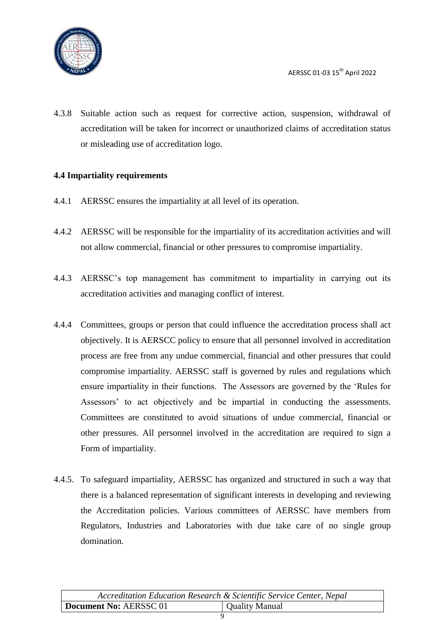

4.3.8 Suitable action such as request for corrective action, suspension, withdrawal of accreditation will be taken for incorrect or unauthorized claims of accreditation status or misleading use of accreditation logo.

#### <span id="page-9-0"></span>**4.4 Impartiality requirements**

- 4.4.1 AERSSC ensures the impartiality at all level of its operation.
- 4.4.2 AERSSC will be responsible for the impartiality of its accreditation activities and will not allow commercial, financial or other pressures to compromise impartiality.
- 4.4.3 AERSSC"s top management has commitment to impartiality in carrying out its accreditation activities and managing conflict of interest.
- 4.4.4 Committees, groups or person that could influence the accreditation process shall act objectively. It is AERSCC policy to ensure that all personnel involved in accreditation process are free from any undue commercial, financial and other pressures that could compromise impartiality. AERSSC staff is governed by rules and regulations which ensure impartiality in their functions. The Assessors are governed by the "Rules for Assessors' to act objectively and be impartial in conducting the assessments. Committees are constituted to avoid situations of undue commercial, financial or other pressures. All personnel involved in the accreditation are required to sign a Form of impartiality.
- 4.4.5. To safeguard impartiality, AERSSC has organized and structured in such a way that there is a balanced representation of significant interests in developing and reviewing the Accreditation policies. Various committees of AERSSC have members from Regulators, Industries and Laboratories with due take care of no single group domination.

| Accreditation Education Research & Scientific Service Center, Nepal |                       |
|---------------------------------------------------------------------|-----------------------|
| Document No: AERSSC 01                                              | <b>Quality Manual</b> |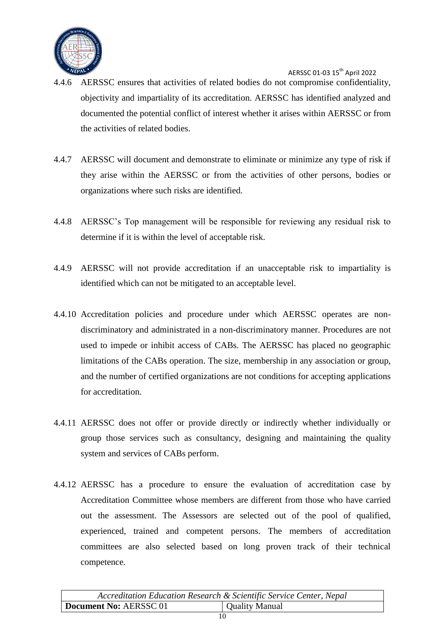

- 4.4.6 AERSSC ensures that activities of related bodies do not compromise confidentiality, objectivity and impartiality of its accreditation. AERSSC has identified analyzed and documented the potential conflict of interest whether it arises within AERSSC or from the activities of related bodies.
- 4.4.7 AERSSC will document and demonstrate to eliminate or minimize any type of risk if they arise within the AERSSC or from the activities of other persons, bodies or organizations where such risks are identified.
- 4.4.8 AERSSC"s Top management will be responsible for reviewing any residual risk to determine if it is within the level of acceptable risk.
- 4.4.9 AERSSC will not provide accreditation if an unacceptable risk to impartiality is identified which can not be mitigated to an acceptable level.
- 4.4.10 Accreditation policies and procedure under which AERSSC operates are nondiscriminatory and administrated in a non-discriminatory manner. Procedures are not used to impede or inhibit access of CABs. The AERSSC has placed no geographic limitations of the CABs operation. The size, membership in any association or group, and the number of certified organizations are not conditions for accepting applications for accreditation.
- 4.4.11 AERSSC does not offer or provide directly or indirectly whether individually or group those services such as consultancy, designing and maintaining the quality system and services of CABs perform.
- 4.4.12 AERSSC has a procedure to ensure the evaluation of accreditation case by Accreditation Committee whose members are different from those who have carried out the assessment. The Assessors are selected out of the pool of qualified, experienced, trained and competent persons. The members of accreditation committees are also selected based on long proven track of their technical competence.

| Accreditation Education Research & Scientific Service Center, Nepal |                |
|---------------------------------------------------------------------|----------------|
| Document No: AERSSC 01                                              | Quality Manual |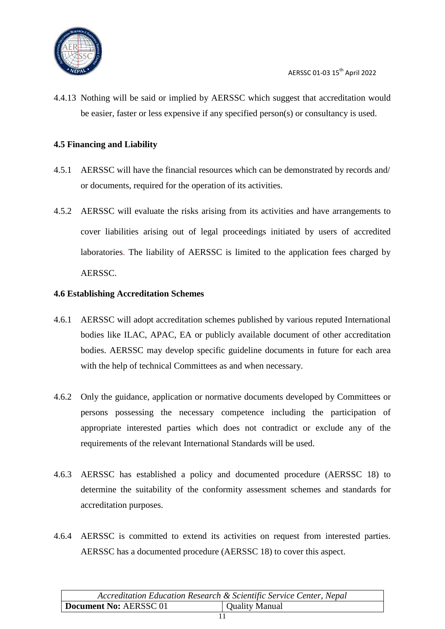

4.4.13 Nothing will be said or implied by AERSSC which suggest that accreditation would be easier, faster or less expensive if any specified person(s) or consultancy is used.

#### <span id="page-11-0"></span>**4.5 Financing and Liability**

- 4.5.1 AERSSC will have the financial resources which can be demonstrated by records and/ or documents, required for the operation of its activities.
- 4.5.2 AERSSC will evaluate the risks arising from its activities and have arrangements to cover liabilities arising out of legal proceedings initiated by users of accredited laboratories. The liability of AERSSC is limited to the application fees charged by AERSSC.

#### <span id="page-11-1"></span>**4.6 Establishing Accreditation Schemes**

- 4.6.1 AERSSC will adopt accreditation schemes published by various reputed International bodies like ILAC, APAC, EA or publicly available document of other accreditation bodies. AERSSC may develop specific guideline documents in future for each area with the help of technical Committees as and when necessary.
- 4.6.2 Only the guidance, application or normative documents developed by Committees or persons possessing the necessary competence including the participation of appropriate interested parties which does not contradict or exclude any of the requirements of the relevant International Standards will be used.
- 4.6.3 AERSSC has established a policy and documented procedure (AERSSC 18) to determine the suitability of the conformity assessment schemes and standards for accreditation purposes.
- 4.6.4 AERSSC is committed to extend its activities on request from interested parties. AERSSC has a documented procedure (AERSSC 18) to cover this aspect.

| Accreditation Education Research & Scientific Service Center, Nepal |                       |
|---------------------------------------------------------------------|-----------------------|
| Document No: AERSSC 01                                              | <b>Quality Manual</b> |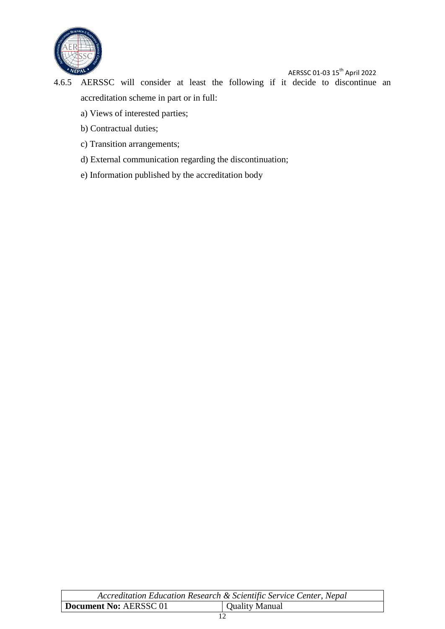

4.6.5 AERSSC will consider at least the following if it decide to discontinue an accreditation scheme in part or in full:

- a) Views of interested parties;
- b) Contractual duties;
- c) Transition arrangements;
- d) External communication regarding the discontinuation;
- e) Information published by the accreditation body

| Accreditation Education Research & Scientific Service Center, Nepal |                |
|---------------------------------------------------------------------|----------------|
| Document No: AERSSC 01                                              | Quality Manual |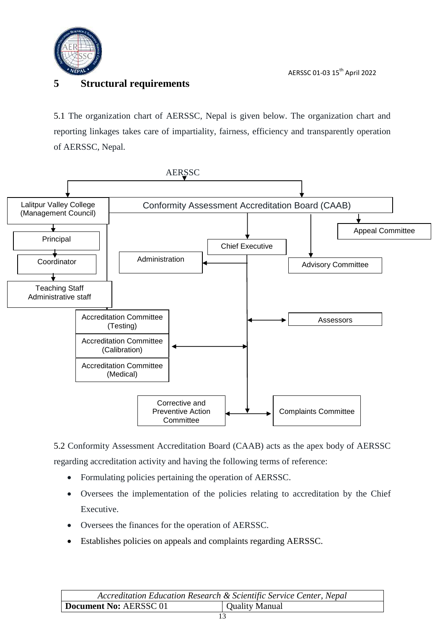

### <span id="page-13-0"></span>**5 Structural requirements**

5.1 The organization chart of AERSSC, Nepal is given below. The organization chart and reporting linkages takes care of impartiality, fairness, efficiency and transparently operation of AERSSC, Nepal.



5.2 Conformity Assessment Accreditation Board (CAAB) acts as the apex body of AERSSC regarding accreditation activity and having the following terms of reference:

- Formulating policies pertaining the operation of AERSSC.
- Oversees the implementation of the policies relating to accreditation by the Chief Executive.
- Oversees the finances for the operation of AERSSC.
- Establishes policies on appeals and complaints regarding AERSSC.

|                        | Accreditation Education Research & Scientific Service Center, Nepal |
|------------------------|---------------------------------------------------------------------|
| Document No: AERSSC 01 | Quality Manual                                                      |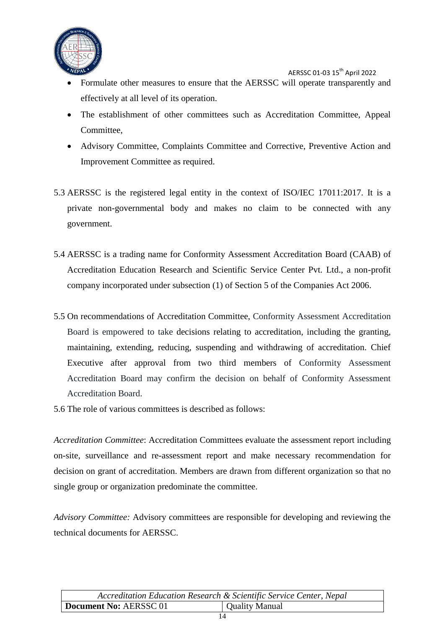

- Formulate other measures to ensure that the AERSSC will operate transparently and effectively at all level of its operation.
- The establishment of other committees such as Accreditation Committee, Appeal Committee,
- Advisory Committee, Complaints Committee and Corrective, Preventive Action and Improvement Committee as required.
- 5.3 AERSSC is the registered legal entity in the context of ISO/IEC 17011:2017. It is a private non-governmental body and makes no claim to be connected with any government.
- 5.4 AERSSC is a trading name for Conformity Assessment Accreditation Board (CAAB) of Accreditation Education Research and Scientific Service Center Pvt. Ltd., a non-profit company incorporated under subsection (1) of Section 5 of the Companies Act 2006.
- 5.5 On recommendations of Accreditation Committee, Conformity Assessment Accreditation Board is empowered to take decisions relating to accreditation, including the granting, maintaining, extending, reducing, suspending and withdrawing of accreditation. Chief Executive after approval from two third members of Conformity Assessment Accreditation Board may confirm the decision on behalf of Conformity Assessment Accreditation Board.
- 5.6 The role of various committees is described as follows:

*Accreditation Committee*: Accreditation Committees evaluate the assessment report including on-site, surveillance and re-assessment report and make necessary recommendation for decision on grant of accreditation. Members are drawn from different organization so that no single group or organization predominate the committee.

*Advisory Committee:* Advisory committees are responsible for developing and reviewing the technical documents for AERSSC.

| Accreditation Education Research & Scientific Service Center, Nepal |                       |
|---------------------------------------------------------------------|-----------------------|
| Document No: AERSSC 01                                              | <b>Quality Manual</b> |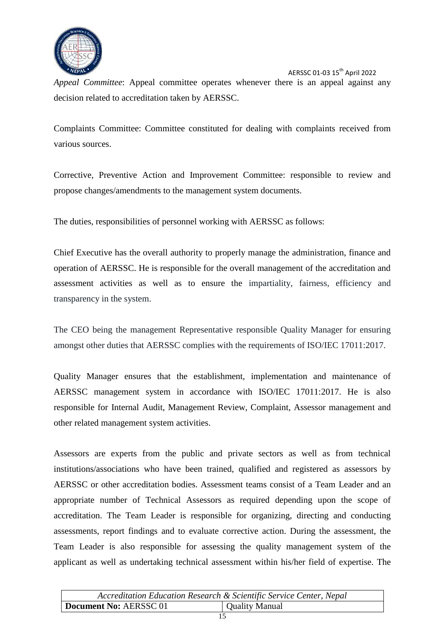

*Appeal Committee*: Appeal committee operates whenever there is an appeal against any decision related to accreditation taken by AERSSC.

Complaints Committee: Committee constituted for dealing with complaints received from various sources.

Corrective, Preventive Action and Improvement Committee: responsible to review and propose changes/amendments to the management system documents.

The duties, responsibilities of personnel working with AERSSC as follows:

Chief Executive has the overall authority to properly manage the administration, finance and operation of AERSSC. He is responsible for the overall management of the accreditation and assessment activities as well as to ensure the impartiality, fairness, efficiency and transparency in the system.

The CEO being the management Representative responsible Quality Manager for ensuring amongst other duties that AERSSC complies with the requirements of ISO/IEC 17011:2017.

Quality Manager ensures that the establishment, implementation and maintenance of AERSSC management system in accordance with ISO/IEC 17011:2017. He is also responsible for Internal Audit, Management Review, Complaint, Assessor management and other related management system activities.

Assessors are experts from the public and private sectors as well as from technical institutions/associations who have been trained, qualified and registered as assessors by AERSSC or other accreditation bodies. Assessment teams consist of a Team Leader and an appropriate number of Technical Assessors as required depending upon the scope of accreditation. The Team Leader is responsible for organizing, directing and conducting assessments, report findings and to evaluate corrective action. During the assessment, the Team Leader is also responsible for assessing the quality management system of the applicant as well as undertaking technical assessment within his/her field of expertise. The

|                        | Accreditation Education Research & Scientific Service Center, Nepal |
|------------------------|---------------------------------------------------------------------|
| Document No: AERSSC 01 | Quality Manual                                                      |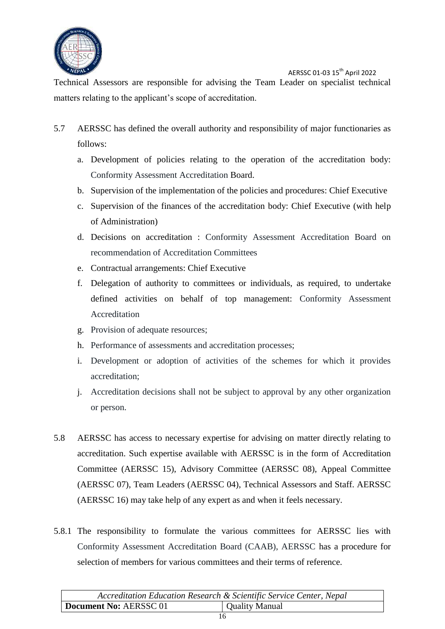

Technical Assessors are responsible for advising the Team Leader on specialist technical matters relating to the applicant's scope of accreditation.

- 5.7 AERSSC has defined the overall authority and responsibility of major functionaries as follows:
	- a. Development of policies relating to the operation of the accreditation body: Conformity Assessment Accreditation Board.
	- b. Supervision of the implementation of the policies and procedures: Chief Executive
	- c. Supervision of the finances of the accreditation body: Chief Executive (with help of Administration)
	- d. Decisions on accreditation : Conformity Assessment Accreditation Board on recommendation of Accreditation Committees
	- e. Contractual arrangements: Chief Executive
	- f. Delegation of authority to committees or individuals, as required, to undertake defined activities on behalf of top management: Conformity Assessment Accreditation
	- g. Provision of adequate resources;
	- h. Performance of assessments and accreditation processes;
	- i. Development or adoption of activities of the schemes for which it provides accreditation;
	- j. Accreditation decisions shall not be subject to approval by any other organization or person.
- 5.8 AERSSC has access to necessary expertise for advising on matter directly relating to accreditation. Such expertise available with AERSSC is in the form of Accreditation Committee (AERSSC 15), Advisory Committee (AERSSC 08), Appeal Committee (AERSSC 07), Team Leaders (AERSSC 04), Technical Assessors and Staff. AERSSC (AERSSC 16) may take help of any expert as and when it feels necessary.
- 5.8.1 The responsibility to formulate the various committees for AERSSC lies with Conformity Assessment Accreditation Board (CAAB), AERSSC has a procedure for selection of members for various committees and their terms of reference.

| Accreditation Education Research & Scientific Service Center, Nepal |                       |
|---------------------------------------------------------------------|-----------------------|
| Document No: AERSSC 01                                              | <b>Quality Manual</b> |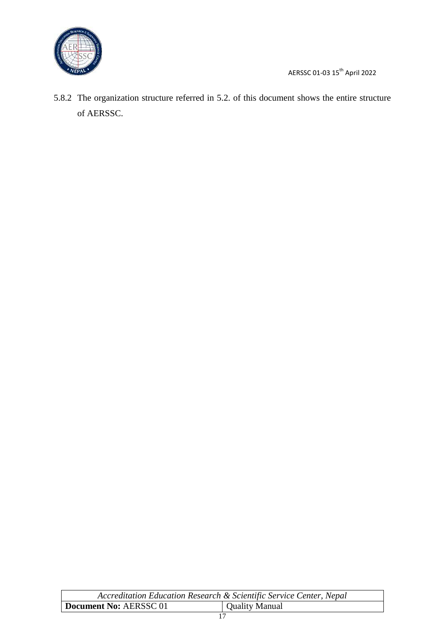

ֺ֘֒

5.8.2 The organization structure referred in 5.2. of this document shows the entire structure of AERSSC.

| Accreditation Education Research & Scientific Service Center, Nepal |                |
|---------------------------------------------------------------------|----------------|
| Document No: AERSSC 01                                              | Quality Manual |
|                                                                     |                |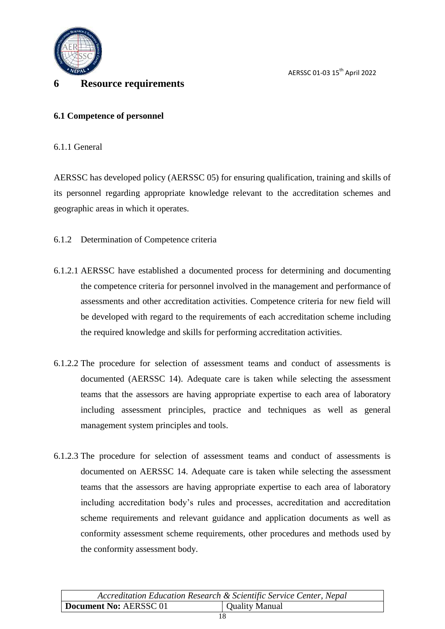

#### <span id="page-18-0"></span>**6 Resource requirements**

#### <span id="page-18-1"></span>**6.1 Competence of personnel**

6.1.1 General

AERSSC has developed policy (AERSSC 05) for ensuring qualification, training and skills of its personnel regarding appropriate knowledge relevant to the accreditation schemes and geographic areas in which it operates.

6.1.2 Determination of Competence criteria

- 6.1.2.1 AERSSC have established a documented process for determining and documenting the competence criteria for personnel involved in the management and performance of assessments and other accreditation activities. Competence criteria for new field will be developed with regard to the requirements of each accreditation scheme including the required knowledge and skills for performing accreditation activities.
- 6.1.2.2 The procedure for selection of assessment teams and conduct of assessments is documented (AERSSC 14). Adequate care is taken while selecting the assessment teams that the assessors are having appropriate expertise to each area of laboratory including assessment principles, practice and techniques as well as general management system principles and tools.
- 6.1.2.3 The procedure for selection of assessment teams and conduct of assessments is documented on AERSSC 14. Adequate care is taken while selecting the assessment teams that the assessors are having appropriate expertise to each area of laboratory including accreditation body"s rules and processes, accreditation and accreditation scheme requirements and relevant guidance and application documents as well as conformity assessment scheme requirements, other procedures and methods used by the conformity assessment body.

| Accreditation Education Research & Scientific Service Center, Nepal |                |
|---------------------------------------------------------------------|----------------|
| Document No: AERSSC 01                                              | Quality Manual |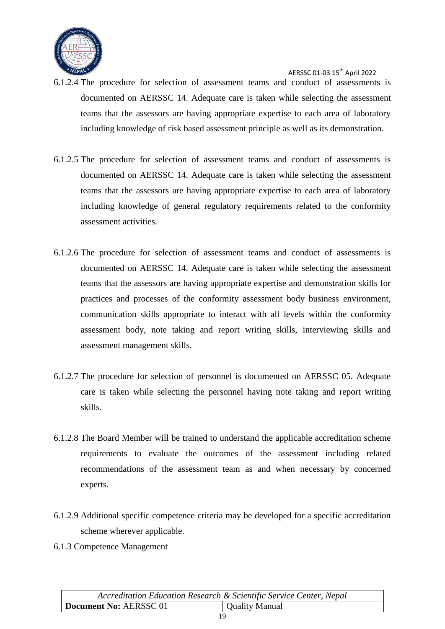

- 6.1.2.4 The procedure for selection of assessment teams and conduct of assessments is documented on AERSSC 14. Adequate care is taken while selecting the assessment teams that the assessors are having appropriate expertise to each area of laboratory including knowledge of risk based assessment principle as well as its demonstration.
- 6.1.2.5 The procedure for selection of assessment teams and conduct of assessments is documented on AERSSC 14. Adequate care is taken while selecting the assessment teams that the assessors are having appropriate expertise to each area of laboratory including knowledge of general regulatory requirements related to the conformity assessment activities.
- 6.1.2.6 The procedure for selection of assessment teams and conduct of assessments is documented on AERSSC 14. Adequate care is taken while selecting the assessment teams that the assessors are having appropriate expertise and demonstration skills for practices and processes of the conformity assessment body business environment, communication skills appropriate to interact with all levels within the conformity assessment body, note taking and report writing skills, interviewing skills and assessment management skills.
- 6.1.2.7 The procedure for selection of personnel is documented on AERSSC 05. Adequate care is taken while selecting the personnel having note taking and report writing skills.
- 6.1.2.8 The Board Member will be trained to understand the applicable accreditation scheme requirements to evaluate the outcomes of the assessment including related recommendations of the assessment team as and when necessary by concerned experts.
- 6.1.2.9 Additional specific competence criteria may be developed for a specific accreditation scheme wherever applicable.
- 6.1.3 Competence Management

|                        | Accreditation Education Research & Scientific Service Center, Nepal |
|------------------------|---------------------------------------------------------------------|
| Document No: AERSSC 01 | Quality Manual                                                      |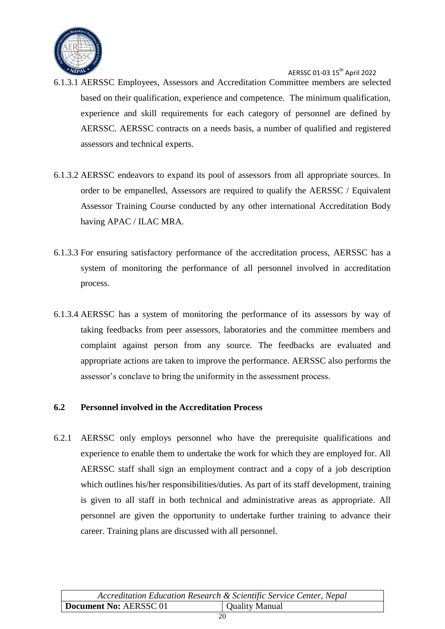

- 6.1.3.1 AERSSC Employees, Assessors and Accreditation Committee members are selected based on their qualification, experience and competence. The minimum qualification, experience and skill requirements for each category of personnel are defined by AERSSC. AERSSC contracts on a needs basis, a number of qualified and registered assessors and technical experts.
- 6.1.3.2 AERSSC endeavors to expand its pool of assessors from all appropriate sources. In order to be empanelled, Assessors are required to qualify the AERSSC / Equivalent Assessor Training Course conducted by any other international Accreditation Body having APAC / ILAC MRA.
- 6.1.3.3 For ensuring satisfactory performance of the accreditation process, AERSSC has a system of monitoring the performance of all personnel involved in accreditation process.
- 6.1.3.4 AERSSC has a system of monitoring the performance of its assessors by way of taking feedbacks from peer assessors, laboratories and the committee members and complaint against person from any source. The feedbacks are evaluated and appropriate actions are taken to improve the performance. AERSSC also performs the assessor"s conclave to bring the uniformity in the assessment process.

#### <span id="page-20-0"></span>**6.2 Personnel involved in the Accreditation Process**

6.2.1 AERSSC only employs personnel who have the prerequisite qualifications and experience to enable them to undertake the work for which they are employed for. All AERSSC staff shall sign an employment contract and a copy of a job description which outlines his/her responsibilities/duties. As part of its staff development, training is given to all staff in both technical and administrative areas as appropriate. All personnel are given the opportunity to undertake further training to advance their career. Training plans are discussed with all personnel.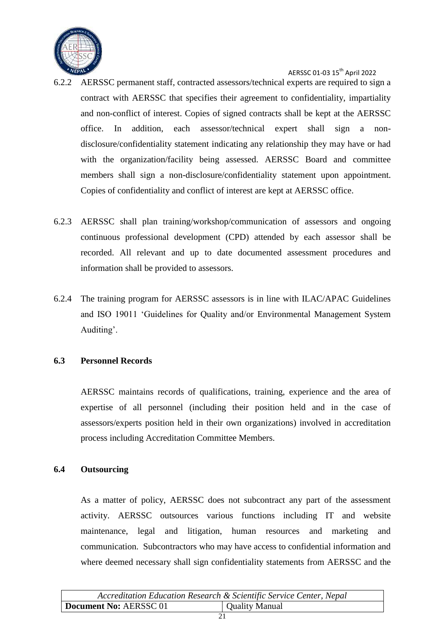

- 6.2.2 AERSSC permanent staff, contracted assessors/technical experts are required to sign a contract with AERSSC that specifies their agreement to confidentiality, impartiality and non-conflict of interest. Copies of signed contracts shall be kept at the AERSSC office. In addition, each assessor/technical expert shall sign a nondisclosure/confidentiality statement indicating any relationship they may have or had with the organization/facility being assessed. AERSSC Board and committee members shall sign a non-disclosure/confidentiality statement upon appointment. Copies of confidentiality and conflict of interest are kept at AERSSC office.
- 6.2.3 AERSSC shall plan training/workshop/communication of assessors and ongoing continuous professional development (CPD) attended by each assessor shall be recorded. All relevant and up to date documented assessment procedures and information shall be provided to assessors.
- 6.2.4 The training program for AERSSC assessors is in line with ILAC/APAC Guidelines and ISO 19011 "Guidelines for Quality and/or Environmental Management System Auditing'.

#### <span id="page-21-0"></span>**6.3 Personnel Records**

AERSSC maintains records of qualifications, training, experience and the area of expertise of all personnel (including their position held and in the case of assessors/experts position held in their own organizations) involved in accreditation process including Accreditation Committee Members.

#### <span id="page-21-1"></span>**6.4 Outsourcing**

As a matter of policy, AERSSC does not subcontract any part of the assessment activity. AERSSC outsources various functions including IT and website maintenance, legal and litigation, human resources and marketing and communication. Subcontractors who may have access to confidential information and where deemed necessary shall sign confidentiality statements from AERSSC and the

| Accreditation Education Research & Scientific Service Center, Nepal |                |
|---------------------------------------------------------------------|----------------|
| Document No: AERSSC 01                                              | Quality Manual |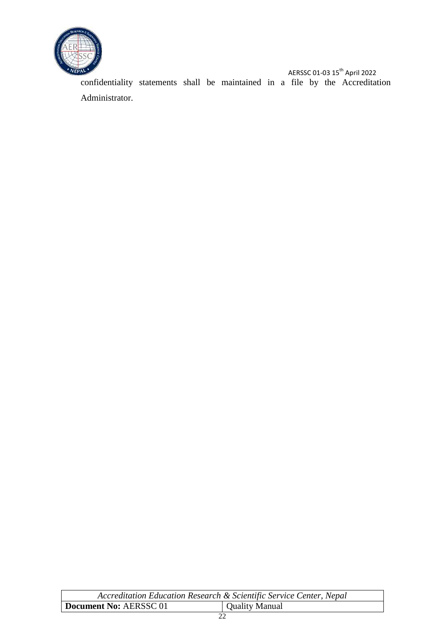

AERSSC 01-03 15<sup>th</sup> April 2022 confidentiality statements shall be maintained in a file by the Accreditation Administrator.

| Accreditation Education Research & Scientific Service Center, Nepal |                |
|---------------------------------------------------------------------|----------------|
| Document No: AERSSC 01                                              | Quality Manual |
|                                                                     |                |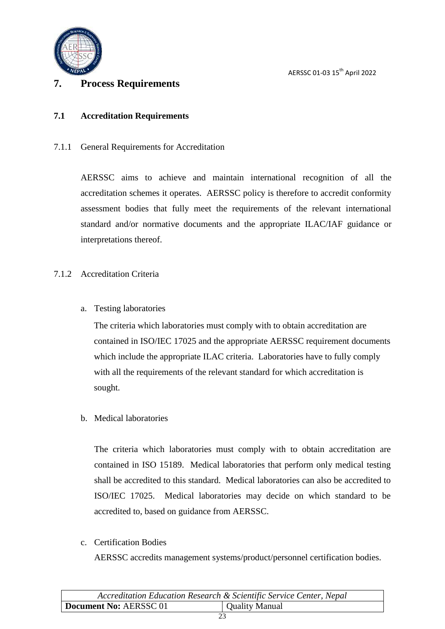

#### <span id="page-23-0"></span>**7. Process Requirements**

#### <span id="page-23-1"></span>**7.1 Accreditation Requirements**

7.1.1 General Requirements for Accreditation

AERSSC aims to achieve and maintain international recognition of all the accreditation schemes it operates. AERSSC policy is therefore to accredit conformity assessment bodies that fully meet the requirements of the relevant international standard and/or normative documents and the appropriate ILAC/IAF guidance or interpretations thereof.

#### 7.1.2 Accreditation Criteria

a. Testing laboratories

The criteria which laboratories must comply with to obtain accreditation are contained in ISO/IEC 17025 and the appropriate AERSSC requirement documents which include the appropriate ILAC criteria. Laboratories have to fully comply with all the requirements of the relevant standard for which accreditation is sought.

b. Medical laboratories

The criteria which laboratories must comply with to obtain accreditation are contained in ISO 15189. Medical laboratories that perform only medical testing shall be accredited to this standard. Medical laboratories can also be accredited to ISO/IEC 17025. Medical laboratories may decide on which standard to be accredited to, based on guidance from AERSSC.

c. Certification Bodies

AERSSC accredits management systems/product/personnel certification bodies.

| Accreditation Education Research & Scientific Service Center, Nepal |                |
|---------------------------------------------------------------------|----------------|
| Document No: AERSSC 01                                              | Quality Manual |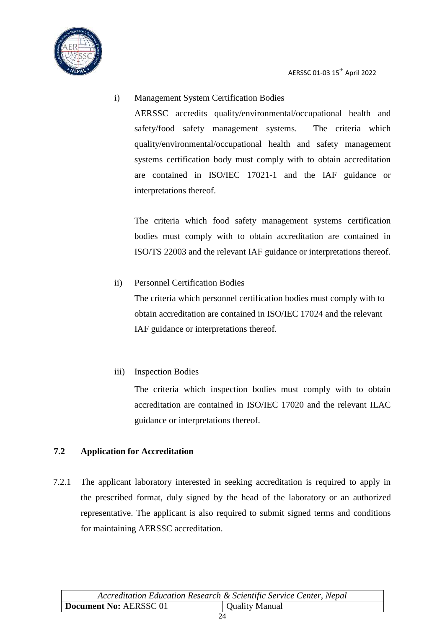

i) Management System Certification Bodies AERSSC accredits quality/environmental/occupational health and safety/food safety management systems. The criteria which quality/environmental/occupational health and safety management systems certification body must comply with to obtain accreditation are contained in ISO/IEC 17021-1 and the IAF guidance or interpretations thereof.

The criteria which food safety management systems certification bodies must comply with to obtain accreditation are contained in ISO/TS 22003 and the relevant IAF guidance or interpretations thereof.

ii) Personnel Certification Bodies The criteria which personnel certification bodies must comply with to

obtain accreditation are contained in ISO/IEC 17024 and the relevant IAF guidance or interpretations thereof.

iii) Inspection Bodies

The criteria which inspection bodies must comply with to obtain accreditation are contained in ISO/IEC 17020 and the relevant ILAC guidance or interpretations thereof.

#### <span id="page-24-0"></span>**7.2 Application for Accreditation**

7.2.1 The applicant laboratory interested in seeking accreditation is required to apply in the prescribed format, duly signed by the head of the laboratory or an authorized representative. The applicant is also required to submit signed terms and conditions for maintaining AERSSC accreditation.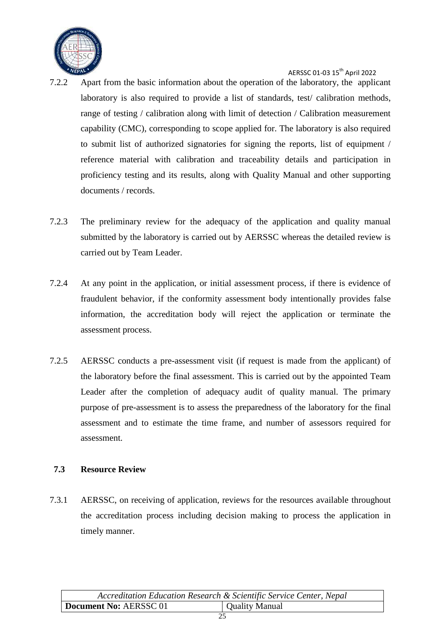

- 7.2.2 Apart from the basic information about the operation of the laboratory, the applicant laboratory is also required to provide a list of standards, test/ calibration methods, range of testing / calibration along with limit of detection / Calibration measurement capability (CMC), corresponding to scope applied for. The laboratory is also required to submit list of authorized signatories for signing the reports, list of equipment / reference material with calibration and traceability details and participation in proficiency testing and its results, along with Quality Manual and other supporting documents / records.
- 7.2.3 The preliminary review for the adequacy of the application and quality manual submitted by the laboratory is carried out by AERSSC whereas the detailed review is carried out by Team Leader.
- 7.2.4 At any point in the application, or initial assessment process, if there is evidence of fraudulent behavior, if the conformity assessment body intentionally provides false information, the accreditation body will reject the application or terminate the assessment process.
- 7.2.5 AERSSC conducts a pre-assessment visit (if request is made from the applicant) of the laboratory before the final assessment. This is carried out by the appointed Team Leader after the completion of adequacy audit of quality manual. The primary purpose of pre-assessment is to assess the preparedness of the laboratory for the final assessment and to estimate the time frame, and number of assessors required for assessment.

#### <span id="page-25-0"></span>**7.3 Resource Review**

7.3.1 AERSSC, on receiving of application, reviews for the resources available throughout the accreditation process including decision making to process the application in timely manner.

| Accreditation Education Research & Scientific Service Center, Nepal |                |
|---------------------------------------------------------------------|----------------|
| Document No: AERSSC 01                                              | Quality Manual |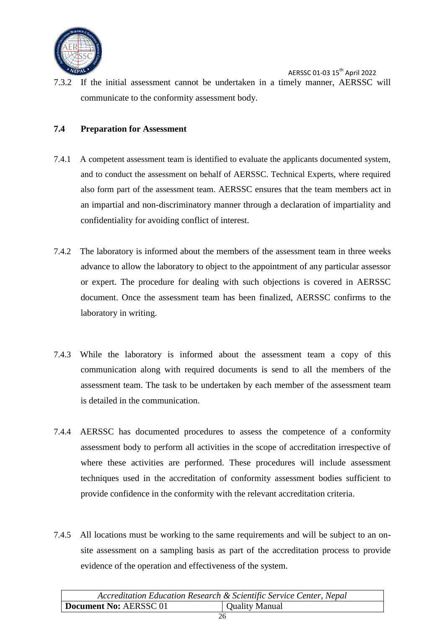

AERSSC 01-03 15th April 2022 7.3.2 If the initial assessment cannot be undertaken in a timely manner, AERSSC will communicate to the conformity assessment body.

#### <span id="page-26-0"></span>**7.4 Preparation for Assessment**

- 7.4.1 A competent assessment team is identified to evaluate the applicants documented system, and to conduct the assessment on behalf of AERSSC. Technical Experts, where required also form part of the assessment team. AERSSC ensures that the team members act in an impartial and non-discriminatory manner through a declaration of impartiality and confidentiality for avoiding conflict of interest.
- 7.4.2 The laboratory is informed about the members of the assessment team in three weeks advance to allow the laboratory to object to the appointment of any particular assessor or expert. The procedure for dealing with such objections is covered in AERSSC document. Once the assessment team has been finalized, AERSSC confirms to the laboratory in writing.
- 7.4.3 While the laboratory is informed about the assessment team a copy of this communication along with required documents is send to all the members of the assessment team. The task to be undertaken by each member of the assessment team is detailed in the communication.
- 7.4.4 AERSSC has documented procedures to assess the competence of a conformity assessment body to perform all activities in the scope of accreditation irrespective of where these activities are performed. These procedures will include assessment techniques used in the accreditation of conformity assessment bodies sufficient to provide confidence in the conformity with the relevant accreditation criteria.
- 7.4.5 All locations must be working to the same requirements and will be subject to an onsite assessment on a sampling basis as part of the accreditation process to provide evidence of the operation and effectiveness of the system.

| Accreditation Education Research & Scientific Service Center, Nepal |                |
|---------------------------------------------------------------------|----------------|
| Document No: AERSSC 01                                              | Quality Manual |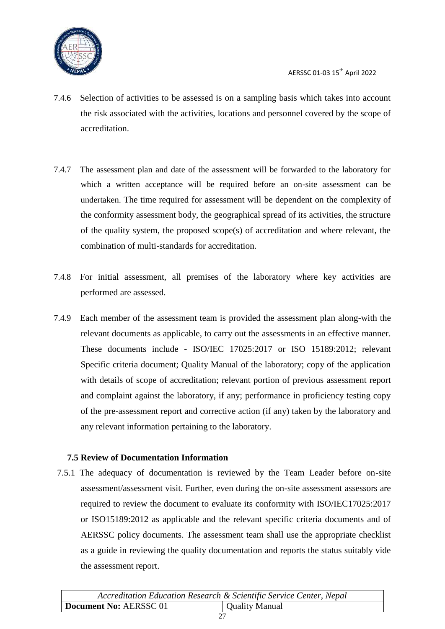

- 7.4.6 Selection of activities to be assessed is on a sampling basis which takes into account the risk associated with the activities, locations and personnel covered by the scope of accreditation.
- 7.4.7 The assessment plan and date of the assessment will be forwarded to the laboratory for which a written acceptance will be required before an on-site assessment can be undertaken. The time required for assessment will be dependent on the complexity of the conformity assessment body, the geographical spread of its activities, the structure of the quality system, the proposed scope(s) of accreditation and where relevant, the combination of multi-standards for accreditation.
- 7.4.8 For initial assessment, all premises of the laboratory where key activities are performed are assessed.
- 7.4.9 Each member of the assessment team is provided the assessment plan along-with the relevant documents as applicable, to carry out the assessments in an effective manner. These documents include - ISO/IEC 17025:2017 or ISO 15189:2012; relevant Specific criteria document; Quality Manual of the laboratory; copy of the application with details of scope of accreditation; relevant portion of previous assessment report and complaint against the laboratory, if any; performance in proficiency testing copy of the pre-assessment report and corrective action (if any) taken by the laboratory and any relevant information pertaining to the laboratory.

#### <span id="page-27-0"></span>**7.5 Review of Documentation Information**

7.5.1 The adequacy of documentation is reviewed by the Team Leader before on-site assessment/assessment visit. Further, even during the on-site assessment assessors are required to review the document to evaluate its conformity with ISO/IEC17025:2017 or ISO15189:2012 as applicable and the relevant specific criteria documents and of AERSSC policy documents. The assessment team shall use the appropriate checklist as a guide in reviewing the quality documentation and reports the status suitably vide the assessment report.

| Accreditation Education Research & Scientific Service Center, Nepal |                |
|---------------------------------------------------------------------|----------------|
| Document No: AERSSC 01                                              | Quality Manual |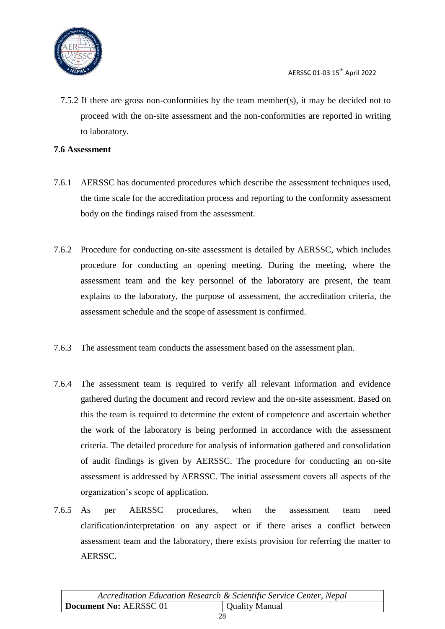

7.5.2 If there are gross non-conformities by the team member(s), it may be decided not to proceed with the on-site assessment and the non-conformities are reported in writing to laboratory.

#### <span id="page-28-0"></span>**7.6 Assessment**

- 7.6.1 AERSSC has documented procedures which describe the assessment techniques used, the time scale for the accreditation process and reporting to the conformity assessment body on the findings raised from the assessment.
- 7.6.2 Procedure for conducting on-site assessment is detailed by AERSSC, which includes procedure for conducting an opening meeting. During the meeting, where the assessment team and the key personnel of the laboratory are present, the team explains to the laboratory, the purpose of assessment, the accreditation criteria, the assessment schedule and the scope of assessment is confirmed.
- 7.6.3 The assessment team conducts the assessment based on the assessment plan.
- 7.6.4 The assessment team is required to verify all relevant information and evidence gathered during the document and record review and the on-site assessment. Based on this the team is required to determine the extent of competence and ascertain whether the work of the laboratory is being performed in accordance with the assessment criteria. The detailed procedure for analysis of information gathered and consolidation of audit findings is given by AERSSC. The procedure for conducting an on-site assessment is addressed by AERSSC. The initial assessment covers all aspects of the organization"s scope of application.
- 7.6.5 As per AERSSC procedures, when the assessment team need clarification/interpretation on any aspect or if there arises a conflict between assessment team and the laboratory, there exists provision for referring the matter to AERSSC.

|                        | Accreditation Education Research & Scientific Service Center, Nepal |
|------------------------|---------------------------------------------------------------------|
| Document No: AERSSC 01 | Quality Manual                                                      |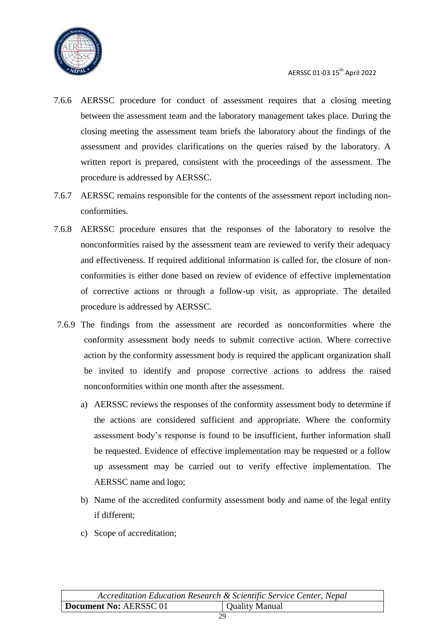

- 7.6.6 AERSSC procedure for conduct of assessment requires that a closing meeting between the assessment team and the laboratory management takes place. During the closing meeting the assessment team briefs the laboratory about the findings of the assessment and provides clarifications on the queries raised by the laboratory. A written report is prepared, consistent with the proceedings of the assessment. The procedure is addressed by AERSSC.
- 7.6.7 AERSSC remains responsible for the contents of the assessment report including nonconformities.
- 7.6.8 AERSSC procedure ensures that the responses of the laboratory to resolve the nonconformities raised by the assessment team are reviewed to verify their adequacy and effectiveness. If required additional information is called for, the closure of nonconformities is either done based on review of evidence of effective implementation of corrective actions or through a follow-up visit, as appropriate. The detailed procedure is addressed by AERSSC.
- 7.6.9 The findings from the assessment are recorded as nonconformities where the conformity assessment body needs to submit corrective action. Where corrective action by the conformity assessment body is required the applicant organization shall be invited to identify and propose corrective actions to address the raised nonconformities within one month after the assessment.
	- a) AERSSC reviews the responses of the conformity assessment body to determine if the actions are considered sufficient and appropriate. Where the conformity assessment body"s response is found to be insufficient, further information shall be requested. Evidence of effective implementation may be requested or a follow up assessment may be carried out to verify effective implementation. The AERSSC name and logo;
	- b) Name of the accredited conformity assessment body and name of the legal entity if different;
	- c) Scope of accreditation;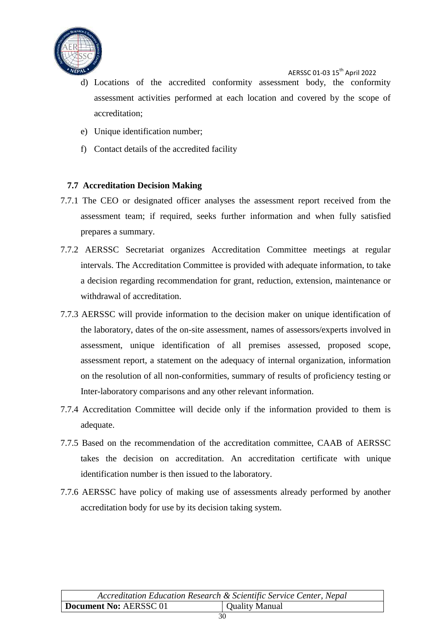

- d) Locations of the accredited conformity assessment body, the conformity assessment activities performed at each location and covered by the scope of accreditation;
- e) Unique identification number;
- f) Contact details of the accredited facility

#### <span id="page-30-0"></span>**7.7 Accreditation Decision Making**

- 7.7.1 The CEO or designated officer analyses the assessment report received from the assessment team; if required, seeks further information and when fully satisfied prepares a summary.
- 7.7.2 AERSSC Secretariat organizes Accreditation Committee meetings at regular intervals. The Accreditation Committee is provided with adequate information, to take a decision regarding recommendation for grant, reduction, extension, maintenance or withdrawal of accreditation.
- 7.7.3 AERSSC will provide information to the decision maker on unique identification of the laboratory, dates of the on-site assessment, names of assessors/experts involved in assessment, unique identification of all premises assessed, proposed scope, assessment report, a statement on the adequacy of internal organization, information on the resolution of all non-conformities, summary of results of proficiency testing or Inter-laboratory comparisons and any other relevant information.
- 7.7.4 Accreditation Committee will decide only if the information provided to them is adequate.
- 7.7.5 Based on the recommendation of the accreditation committee, CAAB of AERSSC takes the decision on accreditation. An accreditation certificate with unique identification number is then issued to the laboratory.
- 7.7.6 AERSSC have policy of making use of assessments already performed by another accreditation body for use by its decision taking system.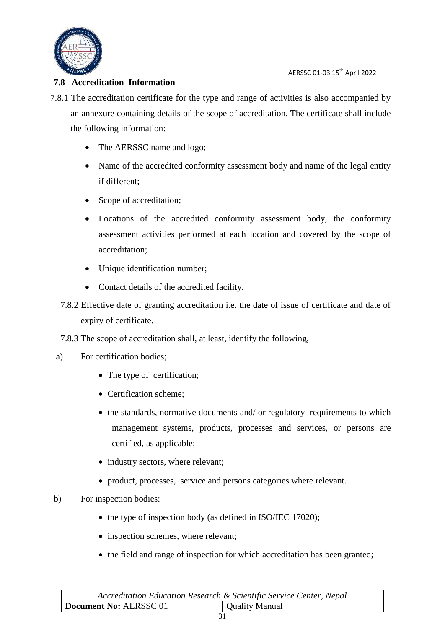

#### <span id="page-31-0"></span>**7.8 Accreditation Information**

- 7.8.1 The accreditation certificate for the type and range of activities is also accompanied by an annexure containing details of the scope of accreditation. The certificate shall include the following information:
	- The AERSSC name and logo;
	- Name of the accredited conformity assessment body and name of the legal entity if different;
	- Scope of accreditation;
	- Locations of the accredited conformity assessment body, the conformity assessment activities performed at each location and covered by the scope of accreditation;
	- Unique identification number;
	- Contact details of the accredited facility.
	- 7.8.2 Effective date of granting accreditation i.e. the date of issue of certificate and date of expiry of certificate.
	- 7.8.3 The scope of accreditation shall, at least, identify the following,
	- a) For certification bodies;
		- The type of certification;
		- Certification scheme;
		- the standards, normative documents and/ or regulatory requirements to which management systems, products, processes and services, or persons are certified, as applicable;
		- industry sectors, where relevant;
		- product, processes, service and persons categories where relevant.

#### b) For inspection bodies:

- the type of inspection body (as defined in ISO/IEC 17020);
- inspection schemes, where relevant;
- the field and range of inspection for which accreditation has been granted;

|                        | Accreditation Education Research & Scientific Service Center, Nepal |
|------------------------|---------------------------------------------------------------------|
| Document No: AERSSC 01 | <b>Quality Manual</b>                                               |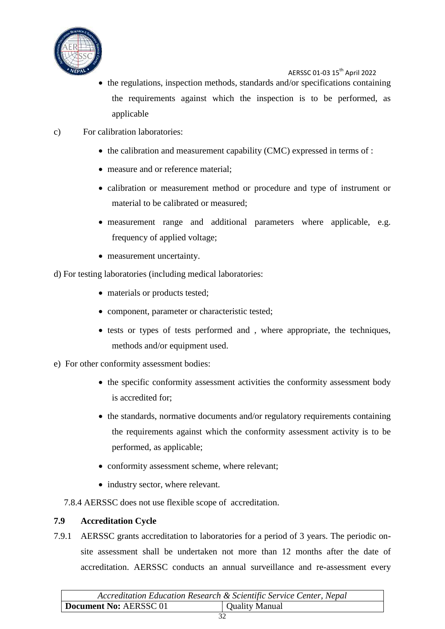

- $\bullet$  the regulations, inspection methods, standards and/or specifications containing the requirements against which the inspection is to be performed, as applicable
- c) For calibration laboratories:
	- $\bullet$  the calibration and measurement capability (CMC) expressed in terms of :
	- measure and or reference material:
	- calibration or measurement method or procedure and type of instrument or material to be calibrated or measured;
	- measurement range and additional parameters where applicable, e.g. frequency of applied voltage;
	- measurement uncertainty.
- d) For testing laboratories (including medical laboratories:
	- materials or products tested;
	- component, parameter or characteristic tested;
	- tests or types of tests performed and, where appropriate, the techniques, methods and/or equipment used.
- e) For other conformity assessment bodies:
	- the specific conformity assessment activities the conformity assessment body is accredited for;
	- the standards, normative documents and/or regulatory requirements containing the requirements against which the conformity assessment activity is to be performed, as applicable;
	- conformity assessment scheme, where relevant;
	- industry sector, where relevant.
	- 7.8.4 AERSSC does not use flexible scope of accreditation.

#### <span id="page-32-0"></span>**7.9 Accreditation Cycle**

7.9.1 AERSSC grants accreditation to laboratories for a period of 3 years. The periodic onsite assessment shall be undertaken not more than 12 months after the date of accreditation. AERSSC conducts an annual surveillance and re-assessment every

| Accreditation Education Research & Scientific Service Center, Nepal |                |
|---------------------------------------------------------------------|----------------|
| Document No: AERSSC 01                                              | Quality Manual |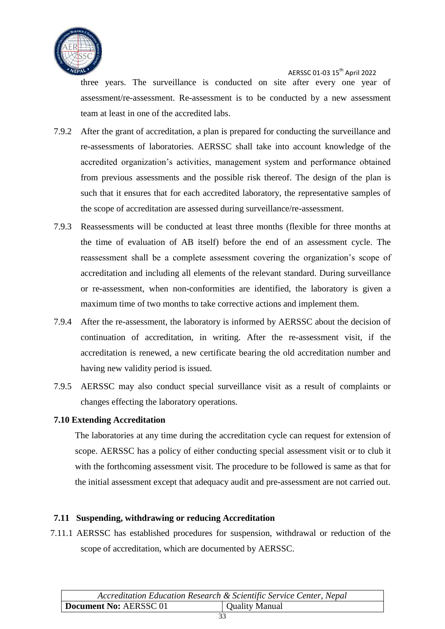

three years. The surveillance is conducted on site after every one year of assessment/re-assessment. Re-assessment is to be conducted by a new assessment team at least in one of the accredited labs.

- 7.9.2 After the grant of accreditation, a plan is prepared for conducting the surveillance and re-assessments of laboratories. AERSSC shall take into account knowledge of the accredited organization"s activities, management system and performance obtained from previous assessments and the possible risk thereof. The design of the plan is such that it ensures that for each accredited laboratory, the representative samples of the scope of accreditation are assessed during surveillance/re-assessment.
- 7.9.3 Reassessments will be conducted at least three months (flexible for three months at the time of evaluation of AB itself) before the end of an assessment cycle. The reassessment shall be a complete assessment covering the organization"s scope of accreditation and including all elements of the relevant standard. During surveillance or re-assessment, when non-conformities are identified, the laboratory is given a maximum time of two months to take corrective actions and implement them.
- 7.9.4 After the re-assessment, the laboratory is informed by AERSSC about the decision of continuation of accreditation, in writing. After the re-assessment visit, if the accreditation is renewed, a new certificate bearing the old accreditation number and having new validity period is issued.
- 7.9.5 AERSSC may also conduct special surveillance visit as a result of complaints or changes effecting the laboratory operations.

#### <span id="page-33-0"></span>**7.10 Extending Accreditation**

The laboratories at any time during the accreditation cycle can request for extension of scope. AERSSC has a policy of either conducting special assessment visit or to club it with the forthcoming assessment visit. The procedure to be followed is same as that for the initial assessment except that adequacy audit and pre-assessment are not carried out.

#### <span id="page-33-1"></span>**7.11 Suspending, withdrawing or reducing Accreditation**

7.11.1 AERSSC has established procedures for suspension, withdrawal or reduction of the scope of accreditation, which are documented by AERSSC.

| Accreditation Education Research & Scientific Service Center, Nepal |                |
|---------------------------------------------------------------------|----------------|
| Document No: AERSSC 01                                              | Quality Manual |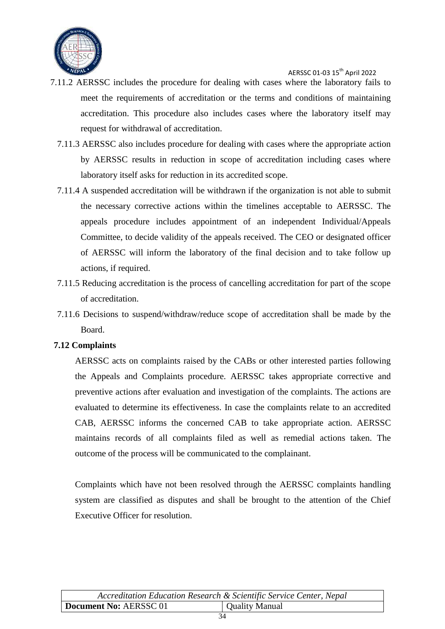

- 7.11.2 AERSSC includes the procedure for dealing with cases where the laboratory fails to meet the requirements of accreditation or the terms and conditions of maintaining accreditation. This procedure also includes cases where the laboratory itself may request for withdrawal of accreditation.
	- 7.11.3 AERSSC also includes procedure for dealing with cases where the appropriate action by AERSSC results in reduction in scope of accreditation including cases where laboratory itself asks for reduction in its accredited scope.
	- 7.11.4 A suspended accreditation will be withdrawn if the organization is not able to submit the necessary corrective actions within the timelines acceptable to AERSSC. The appeals procedure includes appointment of an independent Individual/Appeals Committee, to decide validity of the appeals received. The CEO or designated officer of AERSSC will inform the laboratory of the final decision and to take follow up actions, if required.
	- 7.11.5 Reducing accreditation is the process of cancelling accreditation for part of the scope of accreditation.
	- 7.11.6 Decisions to suspend/withdraw/reduce scope of accreditation shall be made by the Board.

#### <span id="page-34-0"></span>**7.12 Complaints**

AERSSC acts on complaints raised by the CABs or other interested parties following the Appeals and Complaints procedure. AERSSC takes appropriate corrective and preventive actions after evaluation and investigation of the complaints. The actions are evaluated to determine its effectiveness. In case the complaints relate to an accredited CAB, AERSSC informs the concerned CAB to take appropriate action. AERSSC maintains records of all complaints filed as well as remedial actions taken. The outcome of the process will be communicated to the complainant.

Complaints which have not been resolved through the AERSSC complaints handling system are classified as disputes and shall be brought to the attention of the Chief Executive Officer for resolution.

|                        | Accreditation Education Research & Scientific Service Center, Nepal |
|------------------------|---------------------------------------------------------------------|
| Document No: AERSSC 01 | Quality Manual                                                      |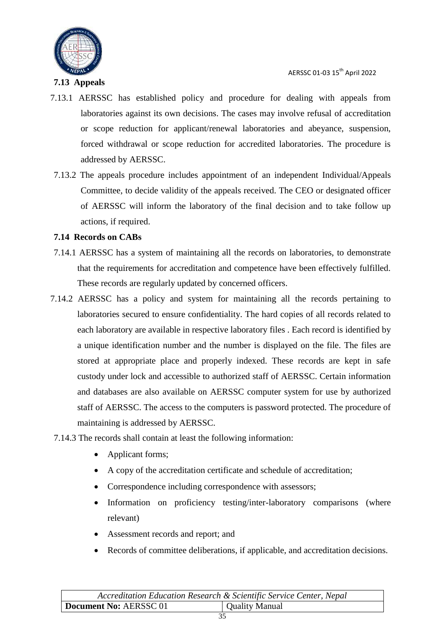

#### <span id="page-35-0"></span>**7.13 Appeals**

- 7.13.1 AERSSC has established policy and procedure for dealing with appeals from laboratories against its own decisions. The cases may involve refusal of accreditation or scope reduction for applicant/renewal laboratories and abeyance, suspension, forced withdrawal or scope reduction for accredited laboratories. The procedure is addressed by AERSSC.
- 7.13.2 The appeals procedure includes appointment of an independent Individual/Appeals Committee, to decide validity of the appeals received. The CEO or designated officer of AERSSC will inform the laboratory of the final decision and to take follow up actions, if required.

#### <span id="page-35-1"></span>**7.14 Records on CABs**

- 7.14.1 AERSSC has a system of maintaining all the records on laboratories, to demonstrate that the requirements for accreditation and competence have been effectively fulfilled. These records are regularly updated by concerned officers.
- 7.14.2 AERSSC has a policy and system for maintaining all the records pertaining to laboratories secured to ensure confidentiality. The hard copies of all records related to each laboratory are available in respective laboratory files . Each record is identified by a unique identification number and the number is displayed on the file. The files are stored at appropriate place and properly indexed. These records are kept in safe custody under lock and accessible to authorized staff of AERSSC. Certain information and databases are also available on AERSSC computer system for use by authorized staff of AERSSC. The access to the computers is password protected. The procedure of maintaining is addressed by AERSSC.
- 7.14.3 The records shall contain at least the following information:
	- Applicant forms;
	- A copy of the accreditation certificate and schedule of accreditation;
	- Correspondence including correspondence with assessors;
	- Information on proficiency testing/inter-laboratory comparisons (where relevant)
	- Assessment records and report; and
	- Records of committee deliberations, if applicable, and accreditation decisions.

| Accreditation Education Research & Scientific Service Center, Nepal |                |
|---------------------------------------------------------------------|----------------|
| <b>Document No: AERSSC 01</b>                                       | Quality Manual |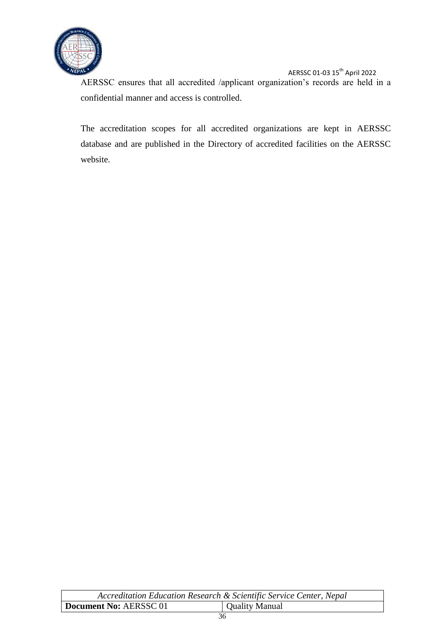

AERSSC ensures that all accredited /applicant organization's records are held in a confidential manner and access is controlled.

The accreditation scopes for all accredited organizations are kept in AERSSC database and are published in the Directory of accredited facilities on the AERSSC website.

| Accreditation Education Research & Scientific Service Center, Nepal |  |
|---------------------------------------------------------------------|--|
| Document No: AERSSC 01<br><b>Quality Manual</b>                     |  |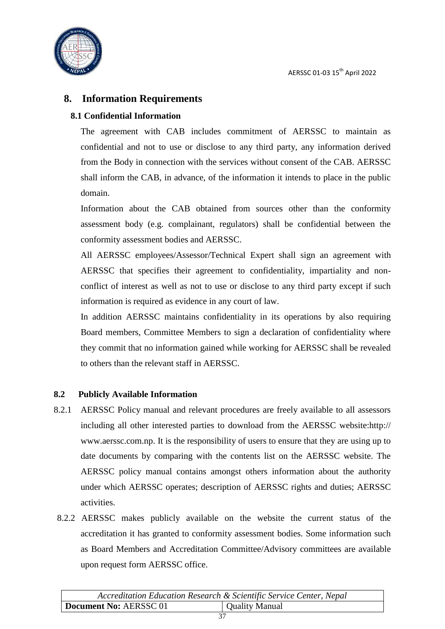

#### <span id="page-37-0"></span>**8. Information Requirements**

#### <span id="page-37-1"></span>**8.1 Confidential Information**

The agreement with CAB includes commitment of AERSSC to maintain as confidential and not to use or disclose to any third party, any information derived from the Body in connection with the services without consent of the CAB. AERSSC shall inform the CAB, in advance, of the information it intends to place in the public domain.

Information about the CAB obtained from sources other than the conformity assessment body (e.g. complainant, regulators) shall be confidential between the conformity assessment bodies and AERSSC.

All AERSSC employees/Assessor/Technical Expert shall sign an agreement with AERSSC that specifies their agreement to confidentiality, impartiality and nonconflict of interest as well as not to use or disclose to any third party except if such information is required as evidence in any court of law.

In addition AERSSC maintains confidentiality in its operations by also requiring Board members, Committee Members to sign a declaration of confidentiality where they commit that no information gained while working for AERSSC shall be revealed to others than the relevant staff in AERSSC.

#### <span id="page-37-2"></span>**8.2 Publicly Available Information**

- 8.2.1 AERSSC Policy manual and relevant procedures are freely available to all assessors including all other interested parties to download from the AERSSC website:http:// www.aerssc.com.np. It is the responsibility of users to ensure that they are using up to date documents by comparing with the contents list on the AERSSC website. The AERSSC policy manual contains amongst others information about the authority under which AERSSC operates; description of AERSSC rights and duties; AERSSC activities.
- 8.2.2 AERSSC makes publicly available on the website the current status of the accreditation it has granted to conformity assessment bodies. Some information such as Board Members and Accreditation Committee/Advisory committees are available upon request form AERSSC office.

|                        | Accreditation Education Research & Scientific Service Center, Nepal |
|------------------------|---------------------------------------------------------------------|
| Document No: AERSSC 01 | Quality Manual                                                      |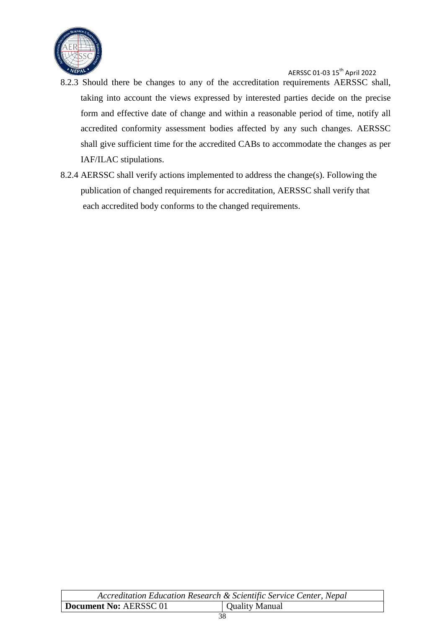

- 8.2.3 Should there be changes to any of the accreditation requirements AERSSC shall, taking into account the views expressed by interested parties decide on the precise form and effective date of change and within a reasonable period of time, notify all accredited conformity assessment bodies affected by any such changes. AERSSC shall give sufficient time for the accredited CABs to accommodate the changes as per IAF/ILAC stipulations.
- 8.2.4 AERSSC shall verify actions implemented to address the change(s). Following the publication of changed requirements for accreditation, AERSSC shall verify that each accredited body conforms to the changed requirements.

| Accreditation Education Research & Scientific Service Center, Nepal |                       |
|---------------------------------------------------------------------|-----------------------|
| Document No: AERSSC 01                                              | <b>Quality Manual</b> |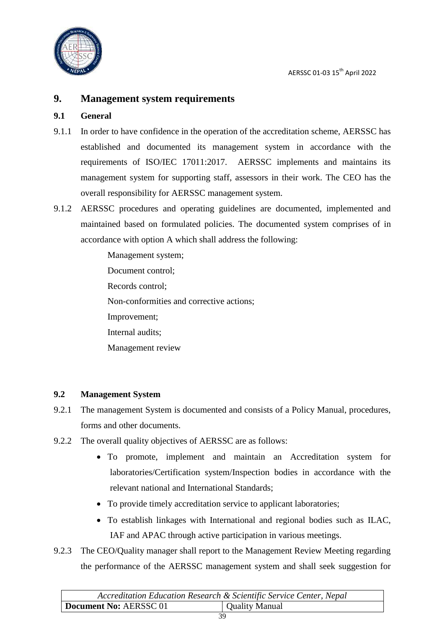

#### <span id="page-39-0"></span>**9. Management system requirements**

#### <span id="page-39-1"></span>**9.1 General**

- 9.1.1 In order to have confidence in the operation of the accreditation scheme, AERSSC has established and documented its management system in accordance with the requirements of ISO/IEC 17011:2017. AERSSC implements and maintains its management system for supporting staff, assessors in their work. The CEO has the overall responsibility for AERSSC management system.
- 9.1.2 AERSSC procedures and operating guidelines are documented, implemented and maintained based on formulated policies. The documented system comprises of in accordance with option A which shall address the following:

Management system; Document control; Records control; Non-conformities and corrective actions; Improvement; Internal audits; Management review

#### <span id="page-39-2"></span>**9.2 Management System**

- 9.2.1 The management System is documented and consists of a Policy Manual, procedures, forms and other documents.
- 9.2.2 The overall quality objectives of AERSSC are as follows:
	- To promote, implement and maintain an Accreditation system for laboratories/Certification system/Inspection bodies in accordance with the relevant national and International Standards;
	- To provide timely accreditation service to applicant laboratories;
	- To establish linkages with International and regional bodies such as ILAC, IAF and APAC through active participation in various meetings.
- 9.2.3 The CEO/Quality manager shall report to the Management Review Meeting regarding the performance of the AERSSC management system and shall seek suggestion for

| Accreditation Education Research & Scientific Service Center, Nepal |                |
|---------------------------------------------------------------------|----------------|
| Document No: AERSSC 01                                              | Quality Manual |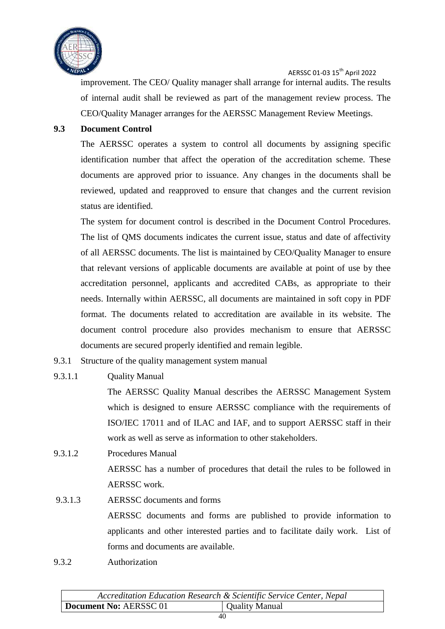

improvement. The CEO/ Quality manager shall arrange for internal audits. The results of internal audit shall be reviewed as part of the management review process. The CEO/Quality Manager arranges for the AERSSC Management Review Meetings.

#### <span id="page-40-0"></span>**9.3 Document Control**

The AERSSC operates a system to control all documents by assigning specific identification number that affect the operation of the accreditation scheme. These documents are approved prior to issuance. Any changes in the documents shall be reviewed, updated and reapproved to ensure that changes and the current revision status are identified.

The system for document control is described in the Document Control Procedures. The list of QMS documents indicates the current issue, status and date of affectivity of all AERSSC documents. The list is maintained by CEO/Quality Manager to ensure that relevant versions of applicable documents are available at point of use by thee accreditation personnel, applicants and accredited CABs, as appropriate to their needs. Internally within AERSSC, all documents are maintained in soft copy in PDF format. The documents related to accreditation are available in its website. The document control procedure also provides mechanism to ensure that AERSSC documents are secured properly identified and remain legible.

9.3.1 Structure of the quality management system manual

#### 9.3.1.1 Quality Manual

The AERSSC Quality Manual describes the AERSSC Management System which is designed to ensure AERSSC compliance with the requirements of ISO/IEC 17011 and of ILAC and IAF, and to support AERSSC staff in their work as well as serve as information to other stakeholders.

9.3.1.2 Procedures Manual

AERSSC has a number of procedures that detail the rules to be followed in AERSSC work.

- 9.3.1.3 AERSSC documents and forms AERSSC documents and forms are published to provide information to applicants and other interested parties and to facilitate daily work. List of forms and documents are available.
- 9.3.2 Authorization

| Accreditation Education Research & Scientific Service Center, Nepal |                |
|---------------------------------------------------------------------|----------------|
| Document No: AERSSC 01                                              | Quality Manual |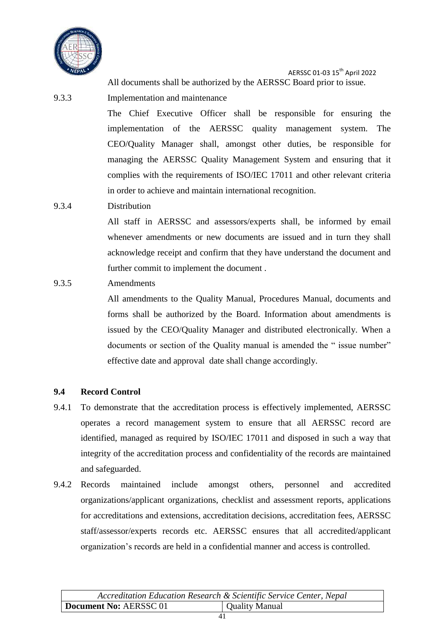

AERSSC 01-03 15th April 2022 All documents shall be authorized by the AERSSC Board prior to issue.

- 9.3.3 Implementation and maintenance The Chief Executive Officer shall be responsible for ensuring the implementation of the AERSSC quality management system. The CEO/Quality Manager shall, amongst other duties, be responsible for managing the AERSSC Quality Management System and ensuring that it complies with the requirements of ISO/IEC 17011 and other relevant criteria in order to achieve and maintain international recognition.
- 9.3.4 Distribution

All staff in AERSSC and assessors/experts shall, be informed by email whenever amendments or new documents are issued and in turn they shall acknowledge receipt and confirm that they have understand the document and further commit to implement the document.

9.3.5 Amendments

All amendments to the Quality Manual, Procedures Manual, documents and forms shall be authorized by the Board. Information about amendments is issued by the CEO/Quality Manager and distributed electronically. When a documents or section of the Quality manual is amended the " issue number" effective date and approval date shall change accordingly.

#### <span id="page-41-0"></span>**9.4 Record Control**

- 9.4.1 To demonstrate that the accreditation process is effectively implemented, AERSSC operates a record management system to ensure that all AERSSC record are identified, managed as required by ISO/IEC 17011 and disposed in such a way that integrity of the accreditation process and confidentiality of the records are maintained and safeguarded.
- 9.4.2 Records maintained include amongst others, personnel and accredited organizations/applicant organizations, checklist and assessment reports, applications for accreditations and extensions, accreditation decisions, accreditation fees, AERSSC staff/assessor/experts records etc. AERSSC ensures that all accredited/applicant organization"s records are held in a confidential manner and access is controlled.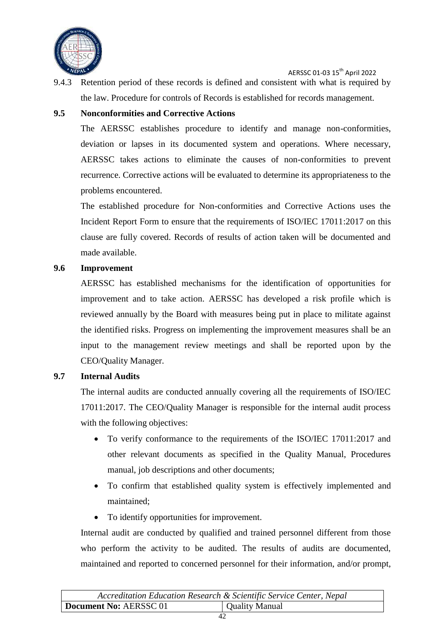

9.4.3 Retention period of these records is defined and consistent with what is required by the law. Procedure for controls of Records is established for records management.

#### <span id="page-42-0"></span>**9.5 Nonconformities and Corrective Actions**

The AERSSC establishes procedure to identify and manage non-conformities, deviation or lapses in its documented system and operations. Where necessary, AERSSC takes actions to eliminate the causes of non-conformities to prevent recurrence. Corrective actions will be evaluated to determine its appropriateness to the problems encountered.

The established procedure for Non-conformities and Corrective Actions uses the Incident Report Form to ensure that the requirements of ISO/IEC 17011:2017 on this clause are fully covered. Records of results of action taken will be documented and made available.

#### <span id="page-42-1"></span>**9.6 Improvement**

AERSSC has established mechanisms for the identification of opportunities for improvement and to take action. AERSSC has developed a risk profile which is reviewed annually by the Board with measures being put in place to militate against the identified risks. Progress on implementing the improvement measures shall be an input to the management review meetings and shall be reported upon by the CEO/Quality Manager.

#### <span id="page-42-2"></span>**9.7 Internal Audits**

The internal audits are conducted annually covering all the requirements of ISO/IEC 17011:2017. The CEO/Quality Manager is responsible for the internal audit process with the following objectives:

- To verify conformance to the requirements of the ISO/IEC 17011:2017 and other relevant documents as specified in the Quality Manual, Procedures manual, job descriptions and other documents;
- To confirm that established quality system is effectively implemented and maintained;
- To identify opportunities for improvement.

Internal audit are conducted by qualified and trained personnel different from those who perform the activity to be audited. The results of audits are documented, maintained and reported to concerned personnel for their information, and/or prompt,

| Accreditation Education Research & Scientific Service Center, Nepal |                       |
|---------------------------------------------------------------------|-----------------------|
| Document No: AERSSC 01                                              | <b>Quality Manual</b> |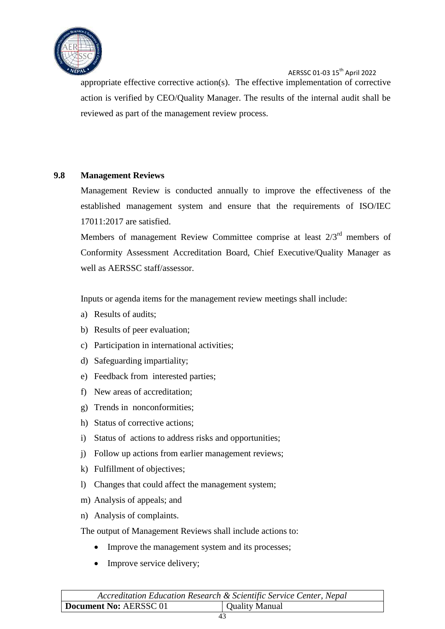

appropriate effective corrective action(s). The effective implementation of corrective action is verified by CEO/Quality Manager. The results of the internal audit shall be reviewed as part of the management review process.

#### <span id="page-43-0"></span>**9.8 Management Reviews**

Management Review is conducted annually to improve the effectiveness of the established management system and ensure that the requirements of ISO/IEC 17011:2017 are satisfied.

Members of management Review Committee comprise at least  $2/3<sup>rd</sup>$  members of Conformity Assessment Accreditation Board, Chief Executive/Quality Manager as well as AERSSC staff/assessor.

Inputs or agenda items for the management review meetings shall include:

- a) Results of audits;
- b) Results of peer evaluation;
- c) Participation in international activities;
- d) Safeguarding impartiality;
- e) Feedback from interested parties;
- f) New areas of accreditation;
- g) Trends in nonconformities;
- h) Status of corrective actions;
- i) Status of actions to address risks and opportunities;
- j) Follow up actions from earlier management reviews;
- k) Fulfillment of objectives;
- l) Changes that could affect the management system;
- m) Analysis of appeals; and
- n) Analysis of complaints.
- The output of Management Reviews shall include actions to:
	- Improve the management system and its processes;
	- Improve service delivery;

| Accreditation Education Research & Scientific Service Center, Nepal |                |
|---------------------------------------------------------------------|----------------|
| Document No: AERSSC 01                                              | Quality Manual |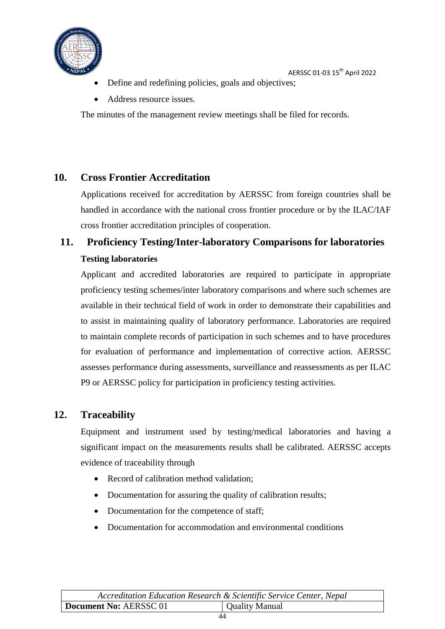

- Define and redefining policies, goals and objectives;
- Address resource issues.

The minutes of the management review meetings shall be filed for records.

#### <span id="page-44-0"></span>**10. Cross Frontier Accreditation**

Applications received for accreditation by AERSSC from foreign countries shall be handled in accordance with the national cross frontier procedure or by the ILAC/IAF cross frontier accreditation principles of cooperation.

# <span id="page-44-1"></span>**11. Proficiency Testing/Inter-laboratory Comparisons for laboratories Testing laboratories**

Applicant and accredited laboratories are required to participate in appropriate proficiency testing schemes/inter laboratory comparisons and where such schemes are available in their technical field of work in order to demonstrate their capabilities and to assist in maintaining quality of laboratory performance. Laboratories are required to maintain complete records of participation in such schemes and to have procedures for evaluation of performance and implementation of corrective action. AERSSC assesses performance during assessments, surveillance and reassessments as per ILAC P9 or AERSSC policy for participation in proficiency testing activities.

#### <span id="page-44-2"></span>**12. Traceability**

Equipment and instrument used by testing/medical laboratories and having a significant impact on the measurements results shall be calibrated. AERSSC accepts evidence of traceability through

- Record of calibration method validation;
- Documentation for assuring the quality of calibration results;
- Documentation for the competence of staff;
- Documentation for accommodation and environmental conditions

| Accreditation Education Research & Scientific Service Center, Nepal |                |
|---------------------------------------------------------------------|----------------|
| Document No: AERSSC 01                                              | Quality Manual |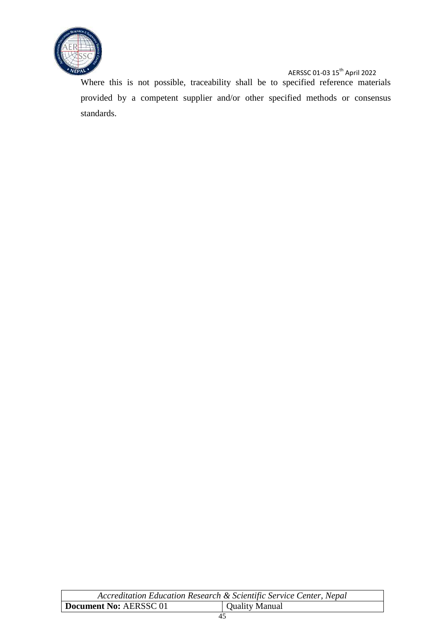

Where this is not possible, traceability shall be to specified reference materials provided by a competent supplier and/or other specified methods or consensus standards.

| Accreditation Education Research & Scientific Service Center, Nepal |                |
|---------------------------------------------------------------------|----------------|
| Document No: AERSSC 01                                              | Quality Manual |